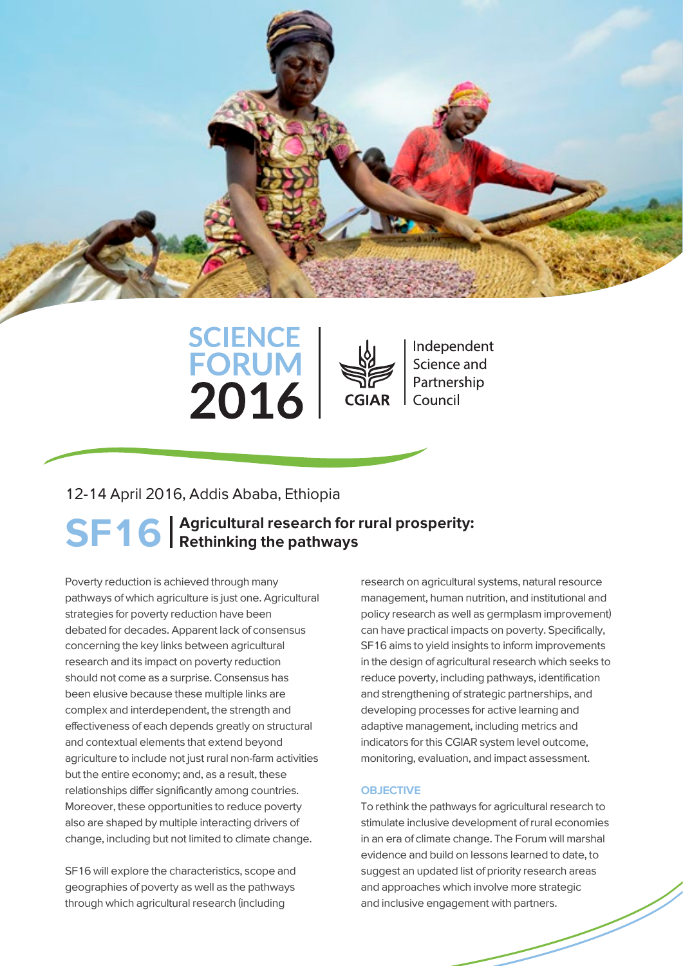





Independent Science and Partnership Council

## 12-14 April 2016, Addis Ababa, Ethiopia

# SF16 | Agricultural research for rural prosperity:<br>SF16 | Rethinking the pathways Rethinking the pathways

Poverty reduction is achieved through many pathways of which agriculture is just one. Agricultural strategies for poverty reduction have been debated for decades. Apparent lack of consensus concerning the key links between agricultural research and its impact on poverty reduction should not come as a surprise. Consensus has been elusive because these multiple links are complex and interdependent, the strength and effectiveness of each depends greatly on structural and contextual elements that extend beyond agriculture to include not just rural non-farm activities but the entire economy; and, as a result, these relationships differ significantly among countries. Moreover, these opportunities to reduce poverty also are shaped by multiple interacting drivers of change, including but not limited to climate change.

SF16 will explore the characteristics, scope and geographies of poverty as well as the pathways through which agricultural research (including

research on agricultural systems, natural resource management, human nutrition, and institutional and policy research as well as germplasm improvement) can have practical impacts on poverty. Specifically, SF16 aims to yield insights to inform improvements in the design of agricultural research which seeks to reduce poverty, including pathways, identification and strengthening of strategic partnerships, and developing processes for active learning and adaptive management, including metrics and indicators for this CGIAR system level outcome, monitoring, evaluation, and impact assessment.

### **OBJECTIVE**

To rethink the pathways for agricultural research to stimulate inclusive development of rural economies in an era of climate change. The Forum will marshal evidence and build on lessons learned to date, to suggest an updated list of priority research areas and approaches which involve more strategic and inclusive engagement with partners.